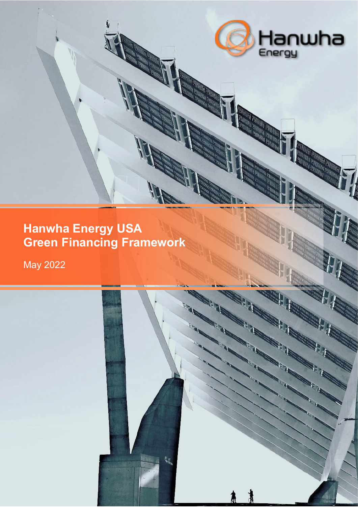

67

# **Hanwha Energy USA Green Financing Framework**

May 2022

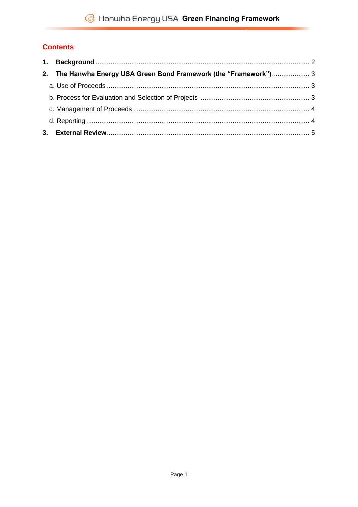## **Contents**

| 2. The Hanwha Energy USA Green Bond Framework (the "Framework") 3 |  |
|-------------------------------------------------------------------|--|
|                                                                   |  |
|                                                                   |  |
|                                                                   |  |
|                                                                   |  |
|                                                                   |  |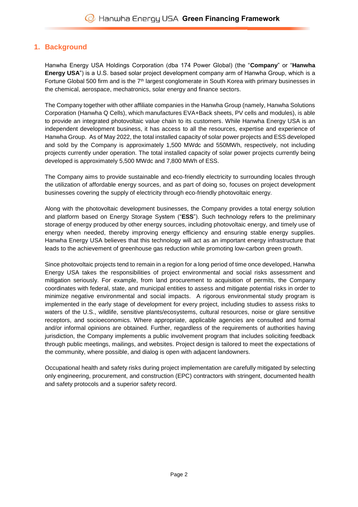### <span id="page-2-0"></span>**1. Background**

Hanwha Energy USA Holdings Corporation (dba 174 Power Global) (the "**Company**" or "**Hanwha Energy USA**") is a U.S. based solar project development company arm of Hanwha Group, which is a Fortune Global 500 firm and is the  $7<sup>th</sup>$  largest conglomerate in South Korea with primary businesses in the chemical, aerospace, mechatronics, solar energy and finance sectors.

The Company together with other affiliate companies in the Hanwha Group (namely, Hanwha Solutions Corporation (Hanwha Q Cells), which manufactures EVA+Back sheets, PV cells and modules), is able to provide an integrated photovoltaic value chain to its customers. While Hanwha Energy USA is an independent development business, it has access to all the resources, expertise and experience of Hanwha Group. As of May 2022, the total installed capacity of solar power projects and ESS developed and sold by the Company is approximately 1,500 MWdc and 550MWh, respectively, not including projects currently under operation. The total installed capacity of solar power projects currently being developed is approximately 5,500 MWdc and 7,800 MWh of ESS.

The Company aims to provide sustainable and eco-friendly electricity to surrounding locales through the utilization of affordable energy sources, and as part of doing so, focuses on project development businesses covering the supply of electricity through eco-friendly photovoltaic energy.

Along with the photovoltaic development businesses, the Company provides a total energy solution and platform based on Energy Storage System ("**ESS**"). Such technology refers to the preliminary storage of energy produced by other energy sources, including photovoltaic energy, and timely use of energy when needed, thereby improving energy efficiency and ensuring stable energy supplies. Hanwha Energy USA believes that this technology will act as an important energy infrastructure that leads to the achievement of greenhouse gas reduction while promoting low-carbon green growth.

Since photovoltaic projects tend to remain in a region for a long period of time once developed, Hanwha Energy USA takes the responsibilities of project environmental and social risks assessment and mitigation seriously. For example, from land procurement to acquisition of permits, the Company coordinates with federal, state, and municipal entities to assess and mitigate potential risks in order to minimize negative environmental and social impacts. A rigorous environmental study program is implemented in the early stage of development for every project, including studies to assess risks to waters of the U.S., wildlife, sensitive plants/ecosystems, cultural resources, noise or glare sensitive receptors, and socioeconomics. Where appropriate, applicable agencies are consulted and formal and/or informal opinions are obtained. Further, regardless of the requirements of authorities having jurisdiction, the Company implements a public involvement program that includes soliciting feedback through public meetings, mailings, and websites. Project design is tailored to meet the expectations of the community, where possible, and dialog is open with adjacent landowners.

Occupational health and safety risks during project implementation are carefully mitigated by selecting only engineering, procurement, and construction (EPC) contractors with stringent, documented health and safety protocols and a superior safety record.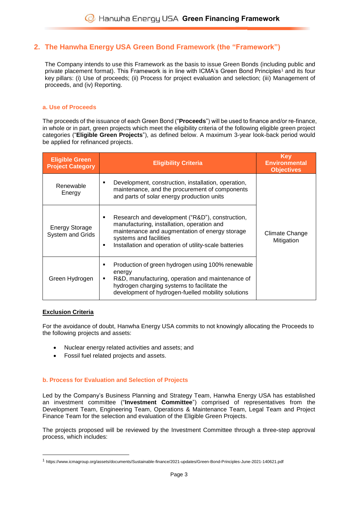## <span id="page-3-0"></span>**2. The Hanwha Energy USA Green Bond Framework (the "Framework")**

The Company intends to use this Framework as the basis to issue Green Bonds (including public and private placement format). This Framework is in line with ICMA's Green Bond Principles<sup>1</sup> and its four key pillars: (i) Use of proceeds; (ii) Process for project evaluation and selection; (iii) Management of proceeds, and (iv) Reporting.

#### <span id="page-3-1"></span>**a. Use of Proceeds**

The proceeds of the issuance of each Green Bond ("**Proceeds**") will be used to finance and/or re-finance, in whole or in part, green projects which meet the eligibility criteria of the following eligible green project categories ("**Eligible Green Projects**"), as defined below. A maximum 3-year look-back period would be applied for refinanced projects.

| <b>Eligible Green</b><br><b>Project Category</b> | <b>Eligibility Criteria</b>                                                                                                                                                                                                             | <b>Key</b><br><b>Environmental</b><br><b>Objectives</b> |
|--------------------------------------------------|-----------------------------------------------------------------------------------------------------------------------------------------------------------------------------------------------------------------------------------------|---------------------------------------------------------|
| Renewable<br>Energy                              | Development, construction, installation, operation,<br>maintenance, and the procurement of components<br>and parts of solar energy production units                                                                                     |                                                         |
| <b>Energy Storage</b><br><b>System and Grids</b> | Research and development ("R&D"), construction,<br>manufacturing, installation, operation and<br>maintenance and augmentation of energy storage<br>systems and facilities<br>Installation and operation of utility-scale batteries<br>٠ | Climate Change<br>Mitigation                            |
| Green Hydrogen                                   | Production of green hydrogen using 100% renewable<br>energy<br>R&D, manufacturing, operation and maintenance of<br>٠<br>hydrogen charging systems to facilitate the<br>development of hydrogen-fuelled mobility solutions               |                                                         |

#### **Exclusion Criteria**

**.** 

For the avoidance of doubt, Hanwha Energy USA commits to not knowingly allocating the Proceeds to the following projects and assets:

- Nuclear energy related activities and assets; and
- Fossil fuel related projects and assets.

#### <span id="page-3-2"></span>**b. Process for Evaluation and Selection of Projects**

Led by the Company's Business Planning and Strategy Team, Hanwha Energy USA has established an investment committee ("**Investment Committee**") comprised of representatives from the Development Team, Engineering Team, Operations & Maintenance Team, Legal Team and Project Finance Team for the selection and evaluation of the Eligible Green Projects.

The projects proposed will be reviewed by the Investment Committee through a three-step approval process, which includes:

<sup>1</sup> https://www.icmagroup.org/assets/documents/Sustainable-finance/2021-updates/Green-Bond-Principles-June-2021-140621.pdf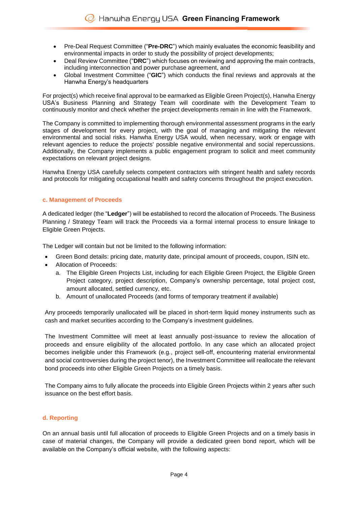- Pre-Deal Request Committee ("**Pre-DRC**") which mainly evaluates the economic feasibility and environmental impacts in order to study the possibility of project developments;
- Deal Review Committee ("**DRC**") which focuses on reviewing and approving the main contracts, including interconnection and power purchase agreement, and
- Global Investment Committee ("**GIC**") which conducts the final reviews and approvals at the Hanwha Energy's headquarters

For project(s) which receive final approval to be earmarked as Eligible Green Project(s), Hanwha Energy USA's Business Planning and Strategy Team will coordinate with the Development Team to continuously monitor and check whether the project developments remain in line with the Framework.

The Company is committed to implementing thorough environmental assessment programs in the early stages of development for every project, with the goal of managing and mitigating the relevant environmental and social risks. Hanwha Energy USA would, when necessary, work or engage with relevant agencies to reduce the projects' possible negative environmental and social repercussions. Additionally, the Company implements a public engagement program to solicit and meet community expectations on relevant project designs.

Hanwha Energy USA carefully selects competent contractors with stringent health and safety records and protocols for mitigating occupational health and safety concerns throughout the project execution.

#### <span id="page-4-0"></span>**c. Management of Proceeds**

A dedicated ledger (the "**Ledger**") will be established to record the allocation of Proceeds. The Business Planning / Strategy Team will track the Proceeds via a formal internal process to ensure linkage to Eligible Green Projects.

The Ledger will contain but not be limited to the following information:

- Green Bond details: pricing date, maturity date, principal amount of proceeds, coupon, ISIN etc.
- Allocation of Proceeds:
	- a. The Eligible Green Projects List, including for each Eligible Green Project, the Eligible Green Project category, project description, Company's ownership percentage, total project cost, amount allocated, settled currency, etc.
	- b. Amount of unallocated Proceeds (and forms of temporary treatment if available)

Any proceeds temporarily unallocated will be placed in short-term liquid money instruments such as cash and market securities according to the Company's investment guidelines.

The Investment Committee will meet at least annually post-issuance to review the allocation of proceeds and ensure eligibility of the allocated portfolio. In any case which an allocated project becomes ineligible under this Framework (e.g., project sell-off, encountering material environmental and social controversies during the project tenor), the Investment Committee will reallocate the relevant bond proceeds into other Eligible Green Projects on a timely basis.

The Company aims to fully allocate the proceeds into Eligible Green Projects within 2 years after such issuance on the best effort basis.

#### <span id="page-4-1"></span>**d. Reporting**

On an annual basis until full allocation of proceeds to Eligible Green Projects and on a timely basis in case of material changes, the Company will provide a dedicated green bond report, which will be available on the Company's official website, with the following aspects: